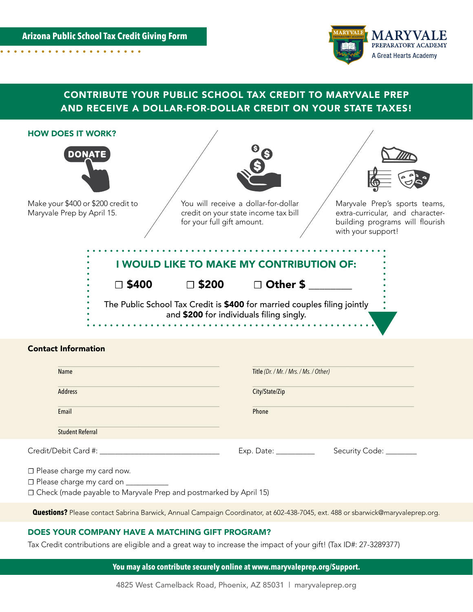**Arizona Public School Tax Credit Giving Form**. . . . . . . . . .



# CONTRIBUTE YOUR PUBLIC SCHOOL TAX CREDIT TO MARYVALE PREP AND RECEIVE A DOLLAR-FOR-DOLLAR CREDIT ON YOUR STATE TAXES!

| <b>HOW DOES IT WORK?</b>                                         |                                                                                                            |                                                                          |                                                                                                                            |
|------------------------------------------------------------------|------------------------------------------------------------------------------------------------------------|--------------------------------------------------------------------------|----------------------------------------------------------------------------------------------------------------------------|
| <b>DONATE</b>                                                    |                                                                                                            |                                                                          |                                                                                                                            |
| Make your \$400 or \$200 credit to<br>Maryvale Prep by April 15. | You will receive a dollar-for-dollar<br>credit on your state income tax bill<br>for your full gift amount. |                                                                          | Maryvale Prep's sports teams,<br>extra-curricular, and character-<br>building programs will flourish<br>with your support! |
|                                                                  |                                                                                                            | I WOULD LIKE TO MAKE MY CONTRIBUTION OF:                                 |                                                                                                                            |
| $\Box$ \$400                                                     | $\Box$ \$200                                                                                               | □ Other \$                                                               |                                                                                                                            |
|                                                                  | and \$200 for individuals filing singly.                                                                   | The Public School Tax Credit is \$400 for married couples filing jointly |                                                                                                                            |
|                                                                  |                                                                                                            |                                                                          |                                                                                                                            |

#### Contact Information

| Name                         | Title (Dr. / Mr. / Mrs. / Ms. / Other) |  |
|------------------------------|----------------------------------------|--|
| Address                      | City/State/Zip                         |  |
| Email                        | Phone                                  |  |
| <b>Student Referral</b>      |                                        |  |
| Credit/Debit Card #:         | Security Code: ________                |  |
| □ Please charge my card now. |                                        |  |

**☐** Please charge my card on \_\_\_\_\_\_\_\_\_\_\_

**☐** Check (made payable to Maryvale Prep and postmarked by April 15)

**Questions?** Please contact Sabrina Barwick, Annual Campaign Coordinator, at 602-438-7045, ext. 488 or sbarwick@maryvaleprep.org.

## DOES YOUR COMPANY HAVE A MATCHING GIFT PROGRAM?

Tax Credit contributions are eligible and a great way to increase the impact of your gift! (Tax ID#: 27-3289377)

**You may also contribute securely online at www.maryvaleprep.org/Support.**

4825 West Camelback Road, Phoenix, AZ 85031 | maryvaleprep.org